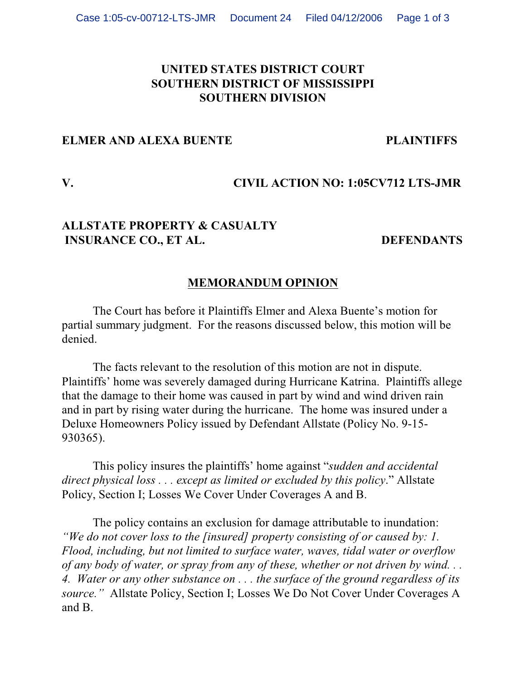# **UNITED STATES DISTRICT COURT SOUTHERN DISTRICT OF MISSISSIPPI SOUTHERN DIVISION**

## **ELMER AND ALEXA BUENTE PLAINTIFFS**

# **V. CIVIL ACTION NO: 1:05CV712 LTS-JMR**

# **ALLSTATE PROPERTY & CASUALTY INSURANCE CO., ET AL. DEFENDANTS**

## **MEMORANDUM OPINION**

The Court has before it Plaintiffs Elmer and Alexa Buente's motion for partial summary judgment. For the reasons discussed below, this motion will be denied.

The facts relevant to the resolution of this motion are not in dispute. Plaintiffs' home was severely damaged during Hurricane Katrina. Plaintiffs allege that the damage to their home was caused in part by wind and wind driven rain and in part by rising water during the hurricane. The home was insured under a Deluxe Homeowners Policy issued by Defendant Allstate (Policy No. 9-15- 930365).

This policy insures the plaintiffs' home against "*sudden and accidental direct physical loss . . . except as limited or excluded by this policy*." Allstate Policy, Section I; Losses We Cover Under Coverages A and B.

The policy contains an exclusion for damage attributable to inundation: *"We do not cover loss to the [insured] property consisting of or caused by: 1. Flood, including, but not limited to surface water, waves, tidal water or overflow of any body of water, or spray from any of these, whether or not driven by wind. . . 4. Water or any other substance on . . . the surface of the ground regardless of its source."* Allstate Policy, Section I; Losses We Do Not Cover Under Coverages A and B.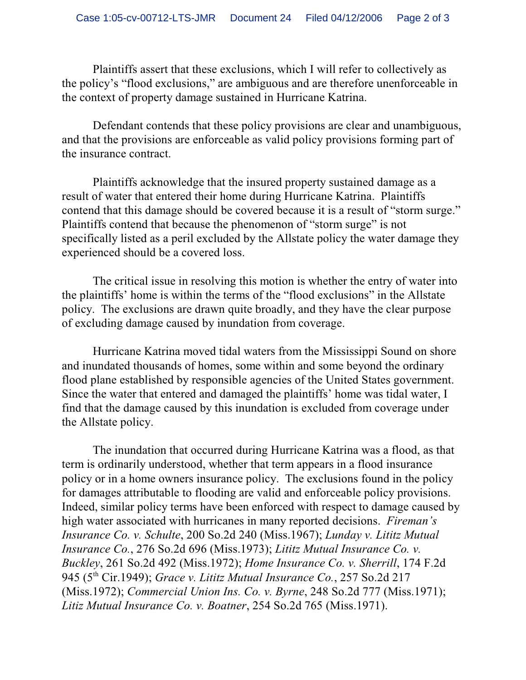Plaintiffs assert that these exclusions, which I will refer to collectively as the policy's "flood exclusions," are ambiguous and are therefore unenforceable in the context of property damage sustained in Hurricane Katrina.

Defendant contends that these policy provisions are clear and unambiguous, and that the provisions are enforceable as valid policy provisions forming part of the insurance contract.

Plaintiffs acknowledge that the insured property sustained damage as a result of water that entered their home during Hurricane Katrina. Plaintiffs contend that this damage should be covered because it is a result of "storm surge." Plaintiffs contend that because the phenomenon of "storm surge" is not specifically listed as a peril excluded by the Allstate policy the water damage they experienced should be a covered loss.

The critical issue in resolving this motion is whether the entry of water into the plaintiffs' home is within the terms of the "flood exclusions" in the Allstate policy. The exclusions are drawn quite broadly, and they have the clear purpose of excluding damage caused by inundation from coverage.

Hurricane Katrina moved tidal waters from the Mississippi Sound on shore and inundated thousands of homes, some within and some beyond the ordinary flood plane established by responsible agencies of the United States government. Since the water that entered and damaged the plaintiffs' home was tidal water, I find that the damage caused by this inundation is excluded from coverage under the Allstate policy.

The inundation that occurred during Hurricane Katrina was a flood, as that term is ordinarily understood, whether that term appears in a flood insurance policy or in a home owners insurance policy. The exclusions found in the policy for damages attributable to flooding are valid and enforceable policy provisions. Indeed, similar policy terms have been enforced with respect to damage caused by high water associated with hurricanes in many reported decisions. *Fireman's Insurance Co. v. Schulte*, 200 So.2d 240 (Miss.1967); *Lunday v. Lititz Mutual Insurance Co.*, 276 So.2d 696 (Miss.1973); *Lititz Mutual Insurance Co. v. Buckley*, 261 So.2d 492 (Miss.1972); *Home Insurance Co. v. Sherrill*, 174 F.2d 945 (5<sup>th</sup> Cir.1949); *Grace v. Lititz Mutual Insurance Co.*, 257 So.2d 217 (Miss.1972); *Commercial Union Ins. Co. v. Byrne*, 248 So.2d 777 (Miss.1971); *Litiz Mutual Insurance Co. v. Boatner*, 254 So.2d 765 (Miss.1971).